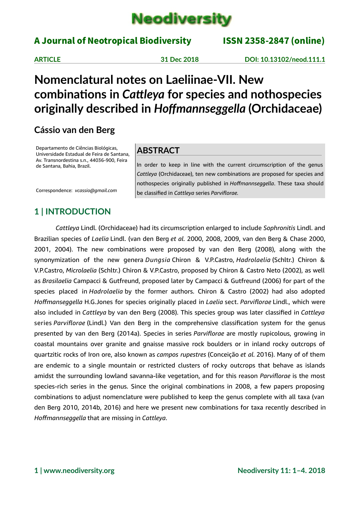

### A Journal of Neotropical Biodiversity ISSN 2358-2847 (online)

**ARTICLE 31 Dec 2018 DOI: 10.13102/neod.111.1**

# **Nomenclatural notes on Laeliinae-VII. New combinations in** *Cattleya* **for species and nothospecies originally described in** *Hoffmannseggella* **(Orchidaceae)**

### **Cássio van den Berg**

Departamento de Ciências Biológicas, Universidade Estadual de Feira de Santana, Av. Transnordestina s.n., 44036-900, Feira de Santana, Bahia, Brazil.

Correspondence: *vcassio@gmail.com*

### **ABSTRACT**

In order to keep in line with the current circumscription of the genus *Cattleya* (Orchidaceae), ten new combinations are proposed for species and nothospecies originally published in *Hoffmannseggella*. These taxa should be classified in *Cattleya* series *Parviflorae.*

# **1 | INTRODUCTION**

*Cattleya* Lindl. (Orchidaceae) had its circumscription enlarged to include *Sophronitis* Lindl. and Brazilian species of *Laelia* Lindl. (van den Berg *et al.* 2000, 2008, 2009, van den Berg & Chase 2000, 2001, 2004). The new combinations were proposed by van den Berg (2008), along with the synonymization of the new genera *Dungsia* Chiron & V.P.Castro, *Hadrolaelia* (Schltr.) Chiron & V.P.Castro, *Microlaelia* (Schltr.) Chiron & V.P.Castro, proposed by Chiron & Castro Neto (2002), as well as *Brasilaelia* Campacci & Gutfreund, proposed later by Campacci & Gutfreund (2006) for part of the species placed in *Hadrolaelia* by the former authors. Chiron & Castro (2002) had also adopted *Hoffmanseggella* H.G.Jones for species originally placed in *Laelia* sect. *Parviflorae* Lindl., which were also included in *Cattleya* by van den Berg (2008). This species group was later classified in *Cattleya* series *Parviflorae* (Lindl.) Van den Berg in the comprehensive classification system for the genus presented by van den Berg (2014a). Species in series *Parviflorae* are mostly rupicolous, growing in coastal mountains over granite and gnaisse massive rock boulders or in inland rocky outcrops of quartzitic rocks of Iron ore, also known as *campos rupestres* (Conceição *et al.* 2016). Many of of them are endemic to a single mountain or restricted clusters of rocky outcrops that behave as islands amidst the surrounding lowland savanna-like vegetation, and for this reason *Parviflorae* is the most species-rich series in the genus. Since the original combinations in 2008, a few papers proposing combinations to adjust nomenclature were published to keep the genus complete with all taxa (van den Berg 2010, 2014b, 2016) and here we present new combinations for taxa recently described in *Hoffmannseggella* that are missing in *Cattleya*.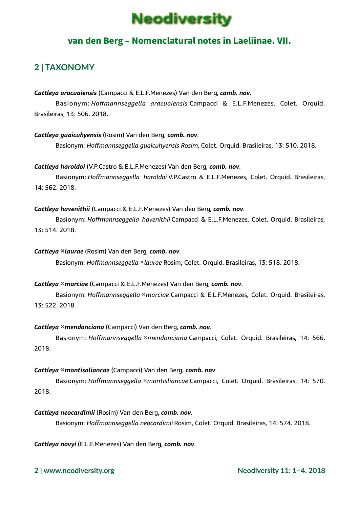

### van den Berg – Nomenclatural notes in Laeliinae. VII.

## **2 | TAXONOMY**

*Cattleya aracuaiensis* (Campacci & E.L.F.Menezes) Van den Berg, *comb. nov*.

Basionym: *Hoffmannseggella aracuaiensis* Campacci & E.L.F.Menezes, Colet. Orquid. Brasileiras, 13: 506. 2018.

*Cattleya guaicuhyensis* (Rosim) Van den Berg, *comb. nov*. Basionym: *Hoffmannseggella guaicuhyensis Rosim*, Colet. Orquid. Brasileiras, 13: 510. 2018.

*Cattleya haroldoi* (V.P.Castro & E.L.F.Menezes) Van den Berg, *comb. nov*. Basionym: *Hoffmannseggella haroldoi* V.P.Castro & E.L.F.Menezes, Colet. Orquid. Brasileiras, 14: 562. 2018.

#### *Cattleya havenithii* (Campacci & E.L.F.Menezes) Van den Berg, *comb. nov*.

Basionym: *Hoffmannseggella havenithii* Campacci & E.L.F.Menezes, Colet. Orquid. Brasileiras, 13: 514. 2018.

#### *Cattleya* **×***laurae* (Rosim) Van den Berg, *comb. nov*.

Basionym: *Hoffmannseggella* ×*laurae* Rosim, Colet. Orquid. Brasileiras, 13: 518. 2018.

#### *Cattleya* **×***marciae* (Campacci & E.L.F.Menezes) Van den Berg, *comb. nov*.

Basionym: *Hoffmannseggella* ×*marciae* Campacci & E.L.F.Menezes, Colet. Orquid. Brasileiras, 13: 522. 2018.

#### *Cattleya* **×***mendonciana* (Campacci) Van den Berg, *comb. nov*.

Basionym: *Hoffmannseggella* ×*mendonciana* Campacci, Colet. Orquid. Brasileiras, 14: 566. 2018.

#### *Cattleya* **×***montisaliancae* (Campacci) Van den Berg, *comb. nov*.

Basionym: *Hoffmannseggella* ×*montisliancae* Campacci, Colet. Orquid. Brasileiras, 14: 570. 2018.

*Cattleya neocardimii* (Rosim) Van den Berg, *comb. nov*.

Basionym: *Hoffmannseggella neocardimii* Rosim, Colet. Orquid. Brasileiras, 14: 574. 2018.

*Cattleya novyi* (E.L.F.Menezes) Van den Berg, *comb. nov*.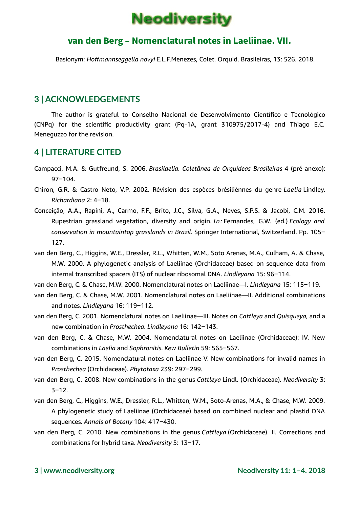

### van den Berg – Nomenclatural notes in Laeliinae. VII.

Basionym: *Hoffmannseggella novyi* E.L.F.Menezes, Colet. Orquid. Brasileiras, 13: 526. 2018.

### **3 | ACKNOWLEDGEMENTS**

The author is grateful to Conselho Nacional de Desenvolvimento Científico e Tecnológico (CNPq) for the scientific productivity grant (Pq-1A, grant 310975/2017-4) and Thiago E.C. Meneguzzo for the revision.

### **4 | LITERATURE CITED**

- Campacci, M.A. & Gutfreund, S. 2006. *Brasilaelia. Coletânea de Orquídeas Brasileiras* 4 (pré-anexo):  $97 - 104.$
- Chiron, G.R. & Castro Neto, V.P. 2002. Révision des espèces brésiliènnes du genre *Laelia* Lindley. *Richardiana* 2: 4‒18.
- Conceição, A.A., Rapini, A., Carmo, F.F., Brito, J.C., Silva, G.A., Neves, S.P.S. & Jacobi, C.M. 2016. Rupestrian grassland vegetation, diversity and origin. *In:* Fernandes, G.W. (ed.) *Ecology and conservation in mountaintop grasslands in Brazil*. Springer International, Switzerland. Pp. 105‒ 127.
- van den Berg, C., Higgins, W.E., Dressler, R.L., Whitten, W.M., Soto Arenas, M.A., Culham, A. & Chase, M.W. 2000. A phylogenetic analysis of Laeliinae (Orchidaceae) based on sequence data from internal transcribed spacers (ITS) of nuclear ribosomal DNA. *Lindleyana* 15: 96-114.
- van den Berg, C. & Chase, M.W. 2000. Nomenclatural notes on Laeliinae—I. *Lindleyana* 15: 115‒119.
- van den Berg, C. & Chase, M.W. 2001. Nomenclatural notes on Laeliinae—II. Additional combinations and notes. *Lindleyana* 16: 119‒112.
- van den Berg, C. 2001. Nomenclatural notes on Laeliinae—III. Notes on *Cattleya* and *Quisqueya*, and a new combination in *Prosthechea*. *Lindleyana* 16: 142‒143.
- van den Berg, C. & Chase, M.W. 2004. Nomenclatural notes on Laeliinae (Orchidaceae): IV. New combinations in *Laelia* and *Sophronitis*. *Kew Bulletin* 59: 565‒567.
- van den Berg, C. 2015. Nomenclatural notes on Laeliinae-V. New combinations for invalid names in *Prosthechea* (Orchidaceae). *Phytotaxa* 239: 297‒299.
- van den Berg, C. 2008. New combinations in the genus *Cattleya* Lindl. (Orchidaceae). *Neodiversity* 3:  $3 - 12.$
- van den Berg, C., Higgins, W.E., Dressler, R.L., Whitten, W.M., Soto-Arenas, M.A., & Chase, M.W. 2009. A phylogenetic study of Laeliinae (Orchidaceae) based on combined nuclear and plastid DNA sequences. Annals of Botany 104: 417-430.
- van den Berg, C. 2010. New combinations in the genus *Cattleya* (Orchidaceae). II. Corrections and combinations for hybrid taxa. *Neodiversity* 5: 13-17.